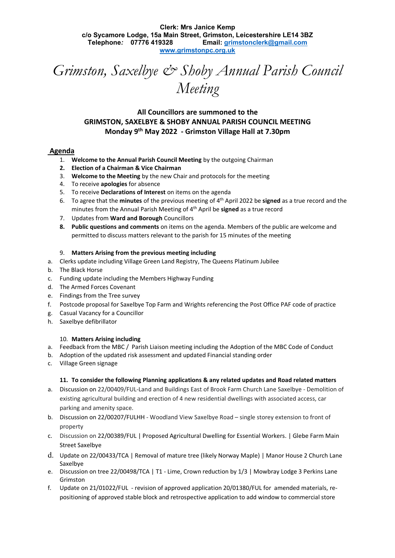**Clerk: Mrs Janice Kemp c/o Sycamore Lodge, 15a Main Street, Grimston, Leicestershire LE14 3BZ Telephone***:* **07776 419328 Email: [grimstonclerk@gmail.com](mailto:grimstonclerk@gmail.com)  [www.g](http://www.grimstonpc.org/)rimstonpc.org.uk**

*Grimston, Saxelbye & Shoby Annual Parish Council Meeting*

# **All Councillors are summoned to the GRIMSTON, SAXELBYE & SHOBY ANNUAL PARISH COUNCIL MEETING Monday 9th May 2022 - Grimston Village Hall at 7.30pm**

## **Agenda**

- 1. **Welcome to the Annual Parish Council Meeting** by the outgoing Chairman
- **2. Election of a Chairman & Vice Chairman**
- 3. **Welcome to the Meeting** by the new Chair and protocols for the meeting
- 4. To receive **apologies** for absence
- 5. To receive **Declarations of Interest** on items on the agenda
- 6. To agree that the **minutes** of the previous meeting of 4 th April 2022 be **signed** as a true record and the minutes from the Annual Parish Meeting of 4th April be **signed** as a true record
- 7. Updates from **Ward and Borough** Councillors
- **8. Public questions and comments** on items on the agenda. Members of the public are welcome and permitted to discuss matters relevant to the parish for 15 minutes of the meeting

#### 9. **Matters Arising from the previous meeting including**

- a. Clerks update including Village Green Land Registry, The Queens Platinum Jubilee
- b. The Black Horse
- c. Funding update including the Members Highway Funding
- d. The Armed Forces Covenant
- e. Findings from the Tree survey
- f. Postcode proposal for Saxelbye Top Farm and Wrights referencing the Post Office PAF code of practice
- g. Casual Vacancy for a Councillor
- h. Saxelbye defibrillator

#### 10. **Matters Arising including**

- a. Feedback from the MBC / Parish Liaison meeting including the Adoption of the MBC Code of Conduct
- b. Adoption of the updated risk assessment and updated Financial standing order
- c. Village Green signage

## **11. To consider the following Planning applications & any related updates and Road related matters**

- a. Discussion on 22/00409/FUL-Land and Buildings East of Brook Farm Church Lane Saxelbye Demolition of existing agricultural building and erection of 4 new residential dwellings with associated access, car parking and amenity space.
- b. Discussion on 22/00207/FULHH Woodland View Saxelbye Road single storey extension to front of property
- c. Discussion on 22/00389/FUL | Proposed Agricultural Dwelling for Essential Workers. | Glebe Farm Main Street Saxelbye
- d. Update on 22/00433/TCA | Removal of mature tree (likely Norway Maple) | Manor House 2 Church Lane Saxelbye
- e. Discussion on tree 22/00498/TCA | T1 Lime, Crown reduction by 1/3 | Mowbray Lodge 3 Perkins Lane Grimston
- f. Update on 21/01022/FUL revision of approved application 20/01380/FUL for amended materials, repositioning of approved stable block and retrospective application to add window to commercial store